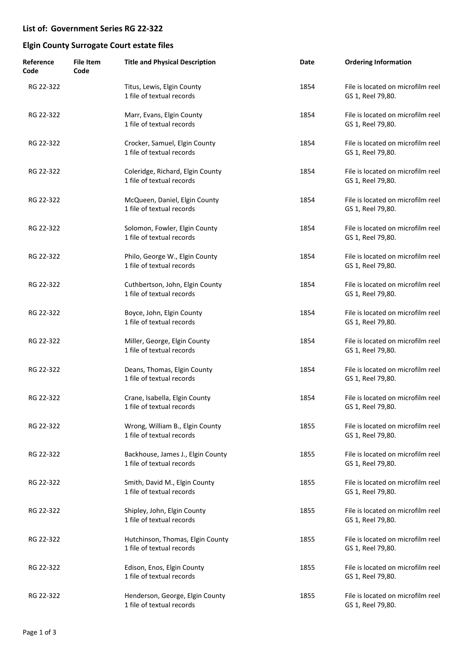#### **List of: Government Series RG 22-322**

# **Elgin County Surrogate Court estate files**

| Reference<br>Code | <b>File Item</b><br>Code | <b>Title and Physical Description</b>                          | Date | <b>Ordering Information</b>                            |
|-------------------|--------------------------|----------------------------------------------------------------|------|--------------------------------------------------------|
| RG 22-322         |                          | Titus, Lewis, Elgin County<br>1 file of textual records        | 1854 | File is located on microfilm reel<br>GS 1, Reel 79,80. |
| RG 22-322         |                          | Marr, Evans, Elgin County<br>1 file of textual records         | 1854 | File is located on microfilm reel<br>GS 1, Reel 79,80. |
| RG 22-322         |                          | Crocker, Samuel, Elgin County<br>1 file of textual records     | 1854 | File is located on microfilm reel<br>GS 1, Reel 79,80. |
| RG 22-322         |                          | Coleridge, Richard, Elgin County<br>1 file of textual records  | 1854 | File is located on microfilm reel<br>GS 1, Reel 79,80. |
| RG 22-322         |                          | McQueen, Daniel, Elgin County<br>1 file of textual records     | 1854 | File is located on microfilm reel<br>GS 1, Reel 79,80. |
| RG 22-322         |                          | Solomon, Fowler, Elgin County<br>1 file of textual records     | 1854 | File is located on microfilm reel<br>GS 1, Reel 79,80. |
| RG 22-322         |                          | Philo, George W., Elgin County<br>1 file of textual records    | 1854 | File is located on microfilm reel<br>GS 1, Reel 79,80. |
| RG 22-322         |                          | Cuthbertson, John, Elgin County<br>1 file of textual records   | 1854 | File is located on microfilm reel<br>GS 1, Reel 79,80. |
| RG 22-322         |                          | Boyce, John, Elgin County<br>1 file of textual records         | 1854 | File is located on microfilm reel<br>GS 1, Reel 79,80. |
| RG 22-322         |                          | Miller, George, Elgin County<br>1 file of textual records      | 1854 | File is located on microfilm reel<br>GS 1, Reel 79,80. |
| RG 22-322         |                          | Deans, Thomas, Elgin County<br>1 file of textual records       | 1854 | File is located on microfilm reel<br>GS 1, Reel 79,80. |
| RG 22-322         |                          | Crane, Isabella, Elgin County<br>1 file of textual records     | 1854 | File is located on microfilm reel<br>GS 1, Reel 79,80. |
| RG 22-322         |                          | Wrong, William B., Elgin County<br>1 file of textual records   | 1855 | File is located on microfilm reel<br>GS 1, Reel 79,80. |
| RG 22-322         |                          | Backhouse, James J., Elgin County<br>1 file of textual records | 1855 | File is located on microfilm reel<br>GS 1, Reel 79,80. |
| RG 22-322         |                          | Smith, David M., Elgin County<br>1 file of textual records     | 1855 | File is located on microfilm reel<br>GS 1, Reel 79,80. |
| RG 22-322         |                          | Shipley, John, Elgin County<br>1 file of textual records       | 1855 | File is located on microfilm reel<br>GS 1, Reel 79,80. |
| RG 22-322         |                          | Hutchinson, Thomas, Elgin County<br>1 file of textual records  | 1855 | File is located on microfilm reel<br>GS 1, Reel 79,80. |
| RG 22-322         |                          | Edison, Enos, Elgin County<br>1 file of textual records        | 1855 | File is located on microfilm reel<br>GS 1, Reel 79,80. |
| RG 22-322         |                          | Henderson, George, Elgin County<br>1 file of textual records   | 1855 | File is located on microfilm reel<br>GS 1, Reel 79,80. |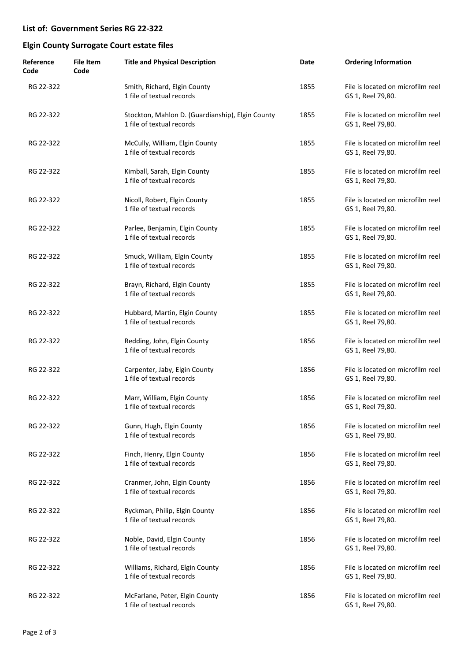#### **List of: Government Series RG 22-322**

# **Elgin County Surrogate Court estate files**

| Reference<br>Code | <b>File Item</b><br>Code | <b>Title and Physical Description</b>                                         | Date | <b>Ordering Information</b>                            |
|-------------------|--------------------------|-------------------------------------------------------------------------------|------|--------------------------------------------------------|
| RG 22-322         |                          | Smith, Richard, Elgin County<br>1 file of textual records                     | 1855 | File is located on microfilm reel<br>GS 1, Reel 79,80. |
| RG 22-322         |                          | Stockton, Mahlon D. (Guardianship), Elgin County<br>1 file of textual records | 1855 | File is located on microfilm reel<br>GS 1, Reel 79,80. |
| RG 22-322         |                          | McCully, William, Elgin County<br>1 file of textual records                   | 1855 | File is located on microfilm reel<br>GS 1, Reel 79,80. |
| RG 22-322         |                          | Kimball, Sarah, Elgin County<br>1 file of textual records                     | 1855 | File is located on microfilm reel<br>GS 1, Reel 79,80. |
| RG 22-322         |                          | Nicoll, Robert, Elgin County<br>1 file of textual records                     | 1855 | File is located on microfilm reel<br>GS 1, Reel 79,80. |
| RG 22-322         |                          | Parlee, Benjamin, Elgin County<br>1 file of textual records                   | 1855 | File is located on microfilm reel<br>GS 1, Reel 79,80. |
| RG 22-322         |                          | Smuck, William, Elgin County<br>1 file of textual records                     | 1855 | File is located on microfilm reel<br>GS 1, Reel 79,80. |
| RG 22-322         |                          | Brayn, Richard, Elgin County<br>1 file of textual records                     | 1855 | File is located on microfilm reel<br>GS 1, Reel 79,80. |
| RG 22-322         |                          | Hubbard, Martin, Elgin County<br>1 file of textual records                    | 1855 | File is located on microfilm reel<br>GS 1, Reel 79,80. |
| RG 22-322         |                          | Redding, John, Elgin County<br>1 file of textual records                      | 1856 | File is located on microfilm reel<br>GS 1, Reel 79,80. |
| RG 22-322         |                          | Carpenter, Jaby, Elgin County<br>1 file of textual records                    | 1856 | File is located on microfilm reel<br>GS 1, Reel 79,80. |
| RG 22-322         |                          | Marr, William, Elgin County<br>1 file of textual records                      | 1856 | File is located on microfilm reel<br>GS 1, Reel 79,80. |
| RG 22-322         |                          | Gunn, Hugh, Elgin County<br>1 file of textual records                         | 1856 | File is located on microfilm reel<br>GS 1, Reel 79,80. |
| RG 22-322         |                          | Finch, Henry, Elgin County<br>1 file of textual records                       | 1856 | File is located on microfilm reel<br>GS 1, Reel 79,80. |
| RG 22-322         |                          | Cranmer, John, Elgin County<br>1 file of textual records                      | 1856 | File is located on microfilm reel<br>GS 1, Reel 79,80. |
| RG 22-322         |                          | Ryckman, Philip, Elgin County<br>1 file of textual records                    | 1856 | File is located on microfilm reel<br>GS 1, Reel 79,80. |
| RG 22-322         |                          | Noble, David, Elgin County<br>1 file of textual records                       | 1856 | File is located on microfilm reel<br>GS 1, Reel 79,80. |
| RG 22-322         |                          | Williams, Richard, Elgin County<br>1 file of textual records                  | 1856 | File is located on microfilm reel<br>GS 1, Reel 79,80. |
| RG 22-322         |                          | McFarlane, Peter, Elgin County<br>1 file of textual records                   | 1856 | File is located on microfilm reel<br>GS 1, Reel 79,80. |